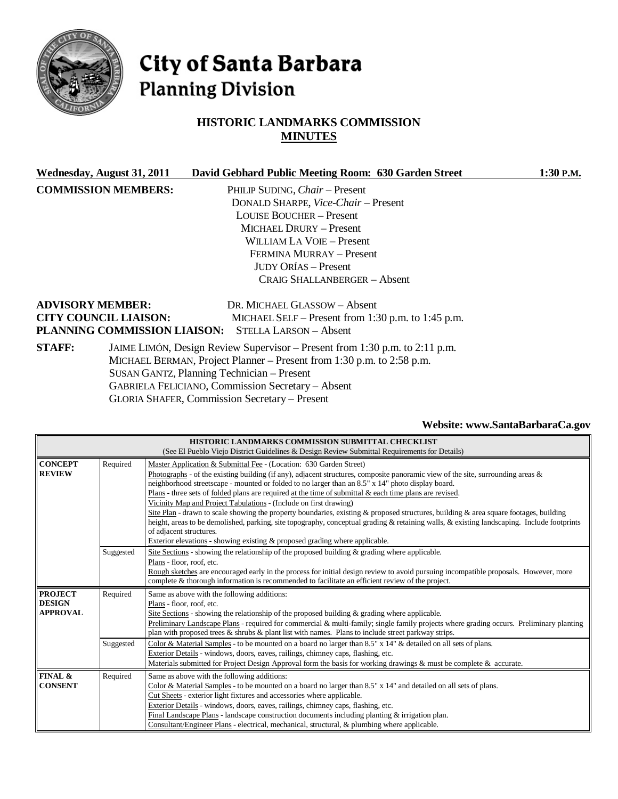

# City of Santa Barbara **Planning Division**

# **HISTORIC LANDMARKS COMMISSION MINUTES**

|               | Wednesday, August 31, 2011                                            | David Gebhard Public Meeting Room: 630 Garden Street                        | 1:30 P.M. |
|---------------|-----------------------------------------------------------------------|-----------------------------------------------------------------------------|-----------|
|               | <b>COMMISSION MEMBERS:</b>                                            | PHILIP SUDING, <i>Chair</i> – Present                                       |           |
|               |                                                                       | DONALD SHARPE, Vice-Chair - Present                                         |           |
|               |                                                                       | <b>LOUISE BOUCHER – Present</b>                                             |           |
|               |                                                                       | MICHAEL DRURY - Present                                                     |           |
|               |                                                                       | WILLIAM LA VOIE – Present                                                   |           |
|               |                                                                       | FERMINA MURRAY - Present                                                    |           |
|               |                                                                       | <b>JUDY ORÍAS – Present</b>                                                 |           |
|               |                                                                       | <b>CRAIG SHALLANBERGER - Absent</b>                                         |           |
|               | <b>ADVISORY MEMBER:</b>                                               | DR. MICHAEL GLASSOW - Absent                                                |           |
|               | <b>CITY COUNCIL LIAISON:</b>                                          | MICHAEL SELF – Present from 1:30 p.m. to 1:45 p.m.                          |           |
|               | PLANNING COMMISSION LIAISON:                                          | <b>STELLA LARSON – Absent</b>                                               |           |
| <b>STAFF:</b> |                                                                       | JAIME LIMÓN, Design Review Supervisor – Present from 1:30 p.m. to 2:11 p.m. |           |
|               | MICHAEL BERMAN, Project Planner – Present from 1:30 p.m. to 2:58 p.m. |                                                                             |           |
|               |                                                                       | SUSAN GANTZ, Planning Technician – Present                                  |           |
|               |                                                                       | <b>GABRIELA FELICIANO, Commission Secretary - Absent</b>                    |           |
|               |                                                                       | <b>GLORIA SHAFER, Commission Secretary - Present</b>                        |           |

# **Website[: www.SantaBarbaraCa.gov](http://www.santabarbaraca.gov/)**

|                                                    |           | HISTORIC LANDMARKS COMMISSION SUBMITTAL CHECKLIST                                                                                                                                                                                                                                                                                                                                                                                                                                                                                                                                                                                                                                                                                                                                                                                                                                                        |  |
|----------------------------------------------------|-----------|----------------------------------------------------------------------------------------------------------------------------------------------------------------------------------------------------------------------------------------------------------------------------------------------------------------------------------------------------------------------------------------------------------------------------------------------------------------------------------------------------------------------------------------------------------------------------------------------------------------------------------------------------------------------------------------------------------------------------------------------------------------------------------------------------------------------------------------------------------------------------------------------------------|--|
|                                                    |           | (See El Pueblo Viejo District Guidelines & Design Review Submittal Requirements for Details)                                                                                                                                                                                                                                                                                                                                                                                                                                                                                                                                                                                                                                                                                                                                                                                                             |  |
| <b>CONCEPT</b><br><b>REVIEW</b>                    | Required  | Master Application & Submittal Fee - (Location: 630 Garden Street)<br>Photographs - of the existing building (if any), adjacent structures, composite panoramic view of the site, surrounding areas $\&$<br>neighborhood streetscape - mounted or folded to no larger than an 8.5" x 14" photo display board.<br>Plans - three sets of <u>folded</u> plans are required at the time of submittal $\&$ each time plans are revised.<br>Vicinity Map and Project Tabulations - (Include on first drawing)<br>Site Plan - drawn to scale showing the property boundaries, existing & proposed structures, building & area square footages, building<br>height, areas to be demolished, parking, site topography, conceptual grading & retaining walls, & existing landscaping. Include footprints<br>of adjacent structures.<br>Exterior elevations - showing existing & proposed grading where applicable. |  |
|                                                    | Suggested | Site Sections - showing the relationship of the proposed building $\&$ grading where applicable.<br>Plans - floor, roof, etc.<br>Rough sketches are encouraged early in the process for initial design review to avoid pursuing incompatible proposals. However, more<br>complete & thorough information is recommended to facilitate an efficient review of the project.                                                                                                                                                                                                                                                                                                                                                                                                                                                                                                                                |  |
| <b>PROJECT</b><br><b>DESIGN</b><br><b>APPROVAL</b> | Required  | Same as above with the following additions:<br>Plans - floor, roof, etc.<br>Site Sections - showing the relationship of the proposed building $\&$ grading where applicable.<br>Preliminary Landscape Plans - required for commercial & multi-family; single family projects where grading occurs. Preliminary planting<br>plan with proposed trees $\&$ shrubs $\&$ plant list with names. Plans to include street parkway strips.                                                                                                                                                                                                                                                                                                                                                                                                                                                                      |  |
|                                                    | Suggested | Color & Material Samples - to be mounted on a board no larger than $8.5"$ x $14"$ & detailed on all sets of plans.<br>Exterior Details - windows, doors, eaves, railings, chimney caps, flashing, etc.<br>Materials submitted for Project Design Approval form the basis for working drawings & must be complete & accurate.                                                                                                                                                                                                                                                                                                                                                                                                                                                                                                                                                                             |  |
| FINAL &<br><b>CONSENT</b>                          | Required  | Same as above with the following additions:<br>Color & Material Samples - to be mounted on a board no larger than $8.5" \times 14"$ and detailed on all sets of plans.<br>Cut Sheets - exterior light fixtures and accessories where applicable.<br>Exterior Details - windows, doors, eaves, railings, chimney caps, flashing, etc.<br>Final Landscape Plans - landscape construction documents including planting $\&$ irrigation plan.<br>Consultant/Engineer Plans - electrical, mechanical, structural, & plumbing where applicable.                                                                                                                                                                                                                                                                                                                                                                |  |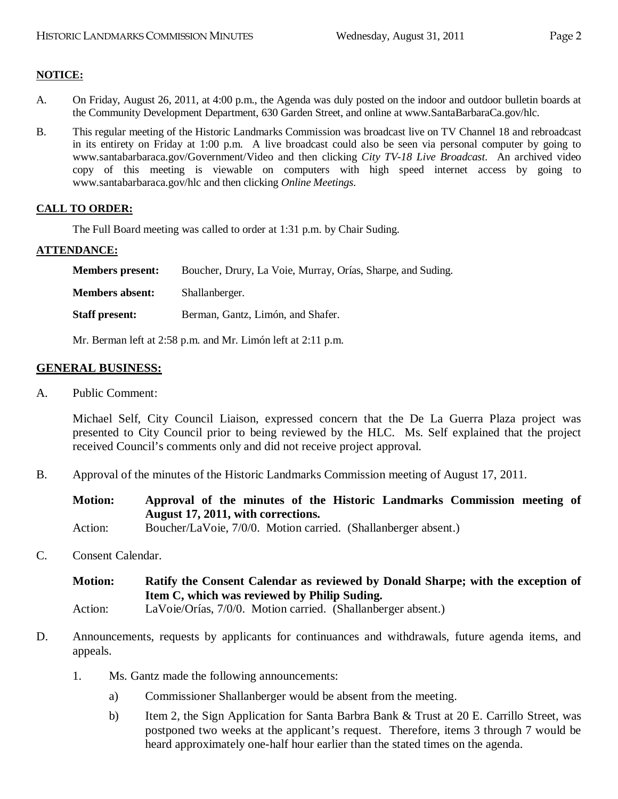# **NOTICE:**

- A. On Friday, August 26, 2011, at 4:00 p.m., the Agenda was duly posted on the indoor and outdoor bulletin boards at the Community Development Department, 630 Garden Street, and online at www.SantaBarbaraCa.gov/hlc.
- B. This regular meeting of the Historic Landmarks Commission was broadcast live on TV Channel 18 and rebroadcast in its entirety on Friday at 1:00 p.m. A live broadcast could also be seen via personal computer by going to [www.santabarbaraca.gov/Government/Video](http://www.santabarbaraca.gov/Government/Video) and then clicking *City TV-18 Live Broadcast*. An archived video copy of this meeting is viewable on computers with high speed internet access by going to [www.santabarbaraca.gov/h](http://www.santabarbaraca.gov/)lc and then clicking *Online Meetings*.

# **CALL TO ORDER:**

The Full Board meeting was called to order at 1:31 p.m. by Chair Suding.

#### **ATTENDANCE:**

| <b>Members present:</b> | Boucher, Drury, La Voie, Murray, Orías, Sharpe, and Suding. |
|-------------------------|-------------------------------------------------------------|
| <b>Members absent:</b>  | Shallanberger.                                              |
| <b>Staff present:</b>   | Berman, Gantz, Limón, and Shafer.                           |

Mr. Berman left at 2:58 p.m. and Mr. Limón left at 2:11 p.m.

#### **GENERAL BUSINESS:**

A. Public Comment:

Michael Self, City Council Liaison, expressed concern that the De La Guerra Plaza project was presented to City Council prior to being reviewed by the HLC. Ms. Self explained that the project received Council's comments only and did not receive project approval.

B. Approval of the minutes of the Historic Landmarks Commission meeting of August 17, 2011.

**Motion: Approval of the minutes of the Historic Landmarks Commission meeting of August 17, 2011, with corrections.**

Action: Boucher/LaVoie, 7/0/0. Motion carried. (Shallanberger absent.)

#### C. Consent Calendar.

**Motion: Ratify the Consent Calendar as reviewed by Donald Sharpe; with the exception of Item C, which was reviewed by Philip Suding.** Action: LaVoie/Orías, 7/0/0. Motion carried. (Shallanberger absent.)

- D. Announcements, requests by applicants for continuances and withdrawals, future agenda items, and appeals.
	- 1. Ms. Gantz made the following announcements:
		- a) Commissioner Shallanberger would be absent from the meeting.
		- b) Item 2, the Sign Application for Santa Barbra Bank & Trust at 20 E. Carrillo Street, was postponed two weeks at the applicant's request. Therefore, items 3 through 7 would be heard approximately one-half hour earlier than the stated times on the agenda.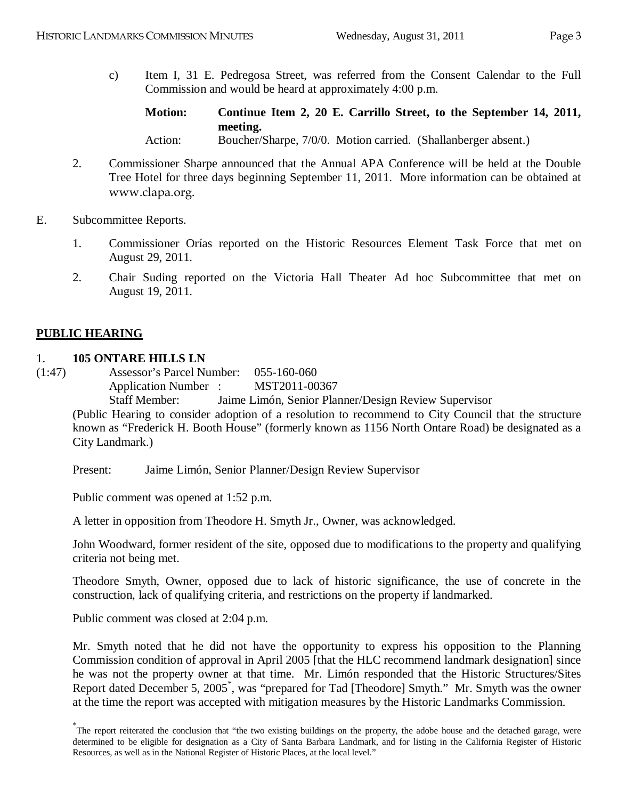c) Item I, 31 E. Pedregosa Street, was referred from the Consent Calendar to the Full Commission and would be heard at approximately 4:00 p.m.

**Motion: Continue Item 2, 20 E. Carrillo Street, to the September 14, 2011, meeting.** Action: Boucher/Sharpe, 7/0/0. Motion carried. (Shallanberger absent.)

- 2. Commissioner Sharpe announced that the Annual APA Conference will be held at the Double Tree Hotel for three days beginning September 11, 2011. More information can be obtained at [www.clapa.org](http://www.clapa.org/).
- E. Subcommittee Reports.
	- 1. Commissioner Orías reported on the Historic Resources Element Task Force that met on August 29, 2011.
	- 2. Chair Suding reported on the Victoria Hall Theater Ad hoc Subcommittee that met on August 19, 2011.

# **PUBLIC HEARING**

# 1. **105 ONTARE HILLS LN**

(1:47) Assessor's Parcel Number: 055-160-060

Application Number : MST2011-00367 Staff Member: Jaime Limón, Senior Planner/Design Review Supervisor (Public Hearing to consider adoption of a resolution to recommend to City Council that the structure known as "Frederick H. Booth House" (formerly known as 1156 North Ontare Road) be designated as a

City Landmark.)

Present: Jaime Limón, Senior Planner/Design Review Supervisor

Public comment was opened at 1:52 p.m.

A letter in opposition from Theodore H. Smyth Jr., Owner, was acknowledged.

John Woodward, former resident of the site, opposed due to modifications to the property and qualifying criteria not being met.

Theodore Smyth, Owner, opposed due to lack of historic significance, the use of concrete in the construction, lack of qualifying criteria, and restrictions on the property if landmarked.

Public comment was closed at 2:04 p.m.

Mr. Smyth noted that he did not have the opportunity to express his opposition to the Planning Commission condition of approval in April 2005 [that the HLC recommend landmark designation] since he was not the property owner at that time. Mr. Limón responded that the Historic Structures/Sites Report dated December 5, 2005<sup>\*</sup>, was "prepared for Tad [Theodore] Smyth." Mr. Smyth was the owner at the time the report was accepted with mitigation measures by the Historic Landmarks Commission.

<sup>\*</sup> The report reiterated the conclusion that "the two existing buildings on the property, the adobe house and the detached garage, were determined to be eligible for designation as a City of Santa Barbara Landmark, and for listing in the California Register of Historic Resources, as well as in the National Register of Historic Places, at the local level."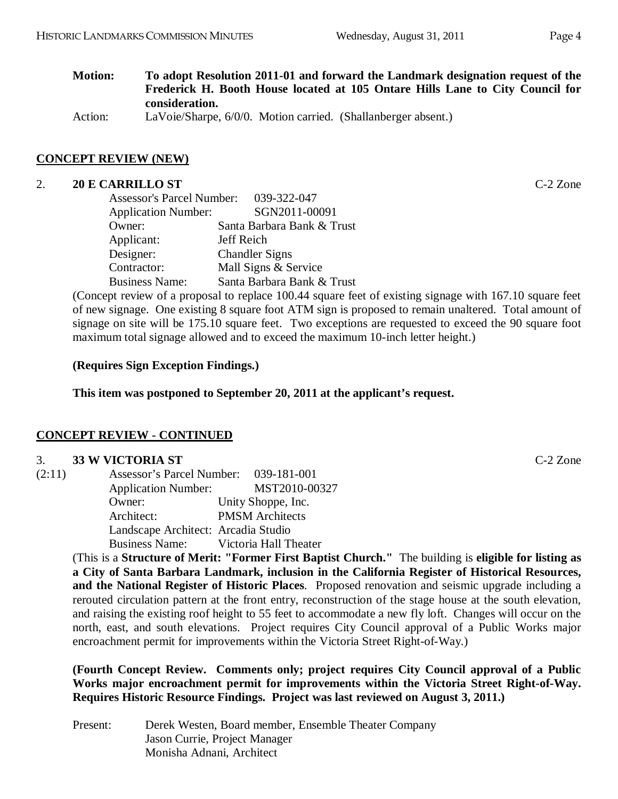# **Motion: To adopt Resolution 2011-01 and forward the Landmark designation request of the Frederick H. Booth House located at 105 Ontare Hills Lane to City Council for consideration.**

Action: LaVoie/Sharpe, 6/0/0. Motion carried. (Shallanberger absent.)

# **CONCEPT REVIEW (NEW)**

#### 2. **20 E CARRILLO ST** C-2 Zone

| <b>Assessor's Parcel Number:</b> | 039-322-047                |
|----------------------------------|----------------------------|
| <b>Application Number:</b>       | SGN2011-00091              |
| Owner:                           | Santa Barbara Bank & Trust |
| Applicant:                       | Jeff Reich                 |
| Designer:                        | <b>Chandler Signs</b>      |
| Contractor:                      | Mall Signs & Service       |
| <b>Business Name:</b>            | Santa Barbara Bank & Trust |

(Concept review of a proposal to replace 100.44 square feet of existing signage with 167.10 square feet of new signage. One existing 8 square foot ATM sign is proposed to remain unaltered. Total amount of signage on site will be 175.10 square feet. Two exceptions are requested to exceed the 90 square foot maximum total signage allowed and to exceed the maximum 10-inch letter height.)

# **(Requires Sign Exception Findings.)**

**This item was postponed to September 20, 2011 at the applicant's request.**

# **CONCEPT REVIEW - CONTINUED**

#### 3. **33 W VICTORIA ST** C-2 Zone

| (2:11) | Assessor's Parcel Number: 039-181-001 |                        |
|--------|---------------------------------------|------------------------|
|        | <b>Application Number:</b>            | MST2010-00327          |
|        | Owner:                                | Unity Shoppe, Inc.     |
|        | Architect:                            | <b>PMSM</b> Architects |
|        | Landscape Architect: Arcadia Studio   |                        |
|        | <b>Business Name:</b>                 | Victoria Hall Theater  |

(This is a **Structure of Merit: "Former First Baptist Church."** The building is **eligible for listing as a City of Santa Barbara Landmark, inclusion in the California Register of Historical Resources, and the National Register of Historic Places**. Proposed renovation and seismic upgrade including a rerouted circulation pattern at the front entry, reconstruction of the stage house at the south elevation, and raising the existing roof height to 55 feet to accommodate a new fly loft. Changes will occur on the north, east, and south elevations. Project requires City Council approval of a Public Works major encroachment permit for improvements within the Victoria Street Right-of-Way.)

**(Fourth Concept Review. Comments only; project requires City Council approval of a Public Works major encroachment permit for improvements within the Victoria Street Right-of-Way. Requires Historic Resource Findings. Project was last reviewed on August 3, 2011.)**

Present: Derek Westen, Board member, Ensemble Theater Company Jason Currie, Project Manager Monisha Adnani, Architect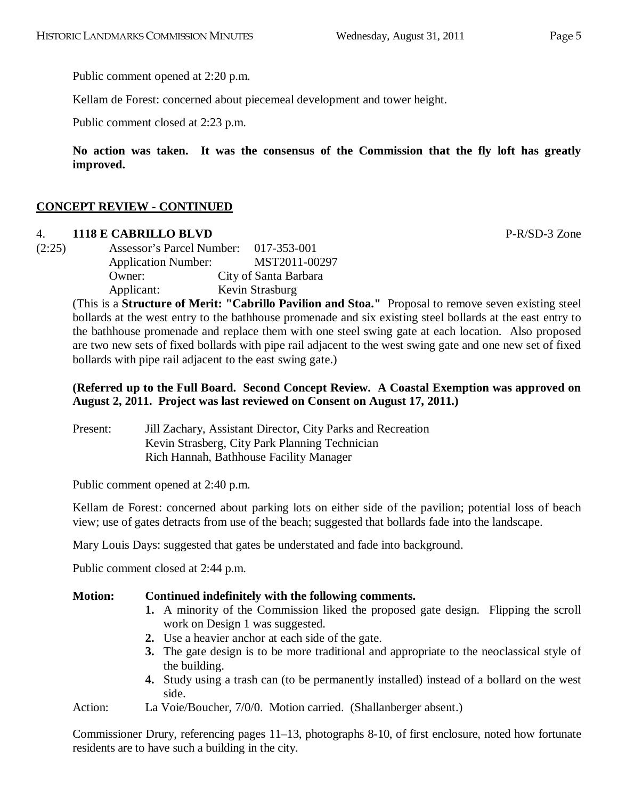Public comment opened at 2:20 p.m.

Kellam de Forest: concerned about piecemeal development and tower height.

Public comment closed at 2:23 p.m.

**No action was taken. It was the consensus of the Commission that the fly loft has greatly improved.**

# **CONCEPT REVIEW - CONTINUED**

# 4. **1118 E CABRILLO BLVD** P-R/SD-3 Zone

(2:25) Assessor's Parcel Number: 017-353-001 Application Number: MST2011-00297 Owner: City of Santa Barbara Applicant: Kevin Strasburg

> (This is a **Structure of Merit: "Cabrillo Pavilion and Stoa."** Proposal to remove seven existing steel bollards at the west entry to the bathhouse promenade and six existing steel bollards at the east entry to the bathhouse promenade and replace them with one steel swing gate at each location. Also proposed are two new sets of fixed bollards with pipe rail adjacent to the west swing gate and one new set of fixed bollards with pipe rail adjacent to the east swing gate.)

# **(Referred up to the Full Board. Second Concept Review. A Coastal Exemption was approved on August 2, 2011. Project was last reviewed on Consent on August 17, 2011.)**

Present: Jill Zachary, Assistant Director, City Parks and Recreation Kevin Strasberg, City Park Planning Technician Rich Hannah, Bathhouse Facility Manager

Public comment opened at 2:40 p.m.

Kellam de Forest: concerned about parking lots on either side of the pavilion; potential loss of beach view; use of gates detracts from use of the beach; suggested that bollards fade into the landscape.

Mary Louis Days: suggested that gates be understated and fade into background.

Public comment closed at 2:44 p.m.

# **Motion: Continued indefinitely with the following comments.**

- **1.** A minority of the Commission liked the proposed gate design. Flipping the scroll work on Design 1 was suggested.
- **2.** Use a heavier anchor at each side of the gate.
- **3.** The gate design is to be more traditional and appropriate to the neoclassical style of the building.
- **4.** Study using a trash can (to be permanently installed) instead of a bollard on the west side.

Action: La Voie/Boucher, 7/0/0. Motion carried. (Shallanberger absent.)

Commissioner Drury, referencing pages 11–13, photographs 8-10, of first enclosure, noted how fortunate residents are to have such a building in the city.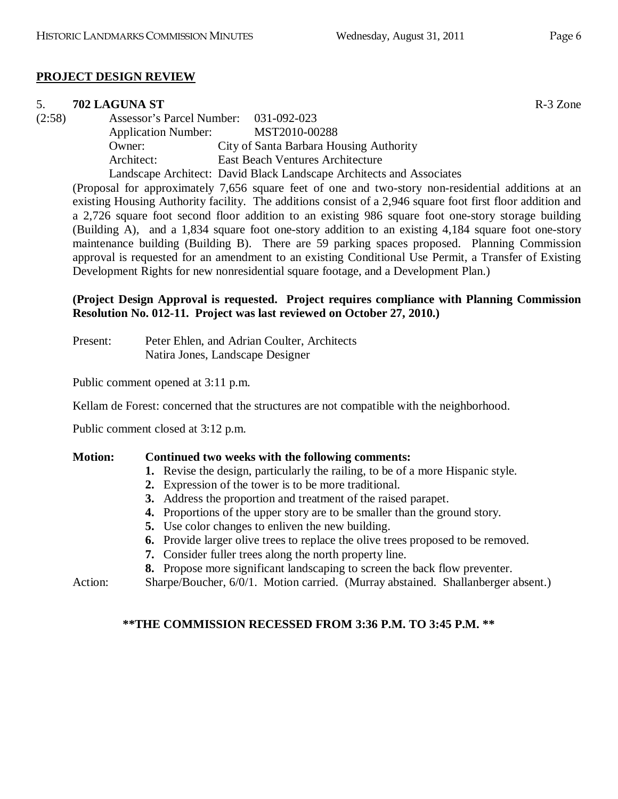# **PROJECT DESIGN REVIEW**

#### 5. **702 LAGUNA ST** R-3 Zone

(2:58) Assessor's Parcel Number: 031-092-023 Application Number: MST2010-00288 Owner: City of Santa Barbara Housing Authority Architect: East Beach Ventures Architecture Landscape Architect: David Black Landscape Architects and Associates

(Proposal for approximately 7,656 square feet of one and two-story non-residential additions at an existing Housing Authority facility. The additions consist of a 2,946 square foot first floor addition and a 2,726 square foot second floor addition to an existing 986 square foot one-story storage building (Building A), and a 1,834 square foot one-story addition to an existing 4,184 square foot one-story maintenance building (Building B). There are 59 parking spaces proposed. Planning Commission approval is requested for an amendment to an existing Conditional Use Permit, a Transfer of Existing Development Rights for new nonresidential square footage, and a Development Plan.)

# **(Project Design Approval is requested. Project requires compliance with Planning Commission Resolution No. 012-11. Project was last reviewed on October 27, 2010.)**

Present: Peter Ehlen, and Adrian Coulter, Architects Natira Jones, Landscape Designer

Public comment opened at 3:11 p.m.

Kellam de Forest: concerned that the structures are not compatible with the neighborhood.

Public comment closed at 3:12 p.m.

#### **Motion: Continued two weeks with the following comments:**

- **1.** Revise the design, particularly the railing, to be of a more Hispanic style.
- **2.** Expression of the tower is to be more traditional.
- **3.** Address the proportion and treatment of the raised parapet.
- **4.** Proportions of the upper story are to be smaller than the ground story.
- **5.** Use color changes to enliven the new building.
- **6.** Provide larger olive trees to replace the olive trees proposed to be removed.
- **7.** Consider fuller trees along the north property line.
- **8.** Propose more significant landscaping to screen the back flow preventer.

Action: Sharpe/Boucher, 6/0/1. Motion carried. (Murray abstained. Shallanberger absent.)

# **\*\*THE COMMISSION RECESSED FROM 3:36 P.M. TO 3:45 P.M. \*\***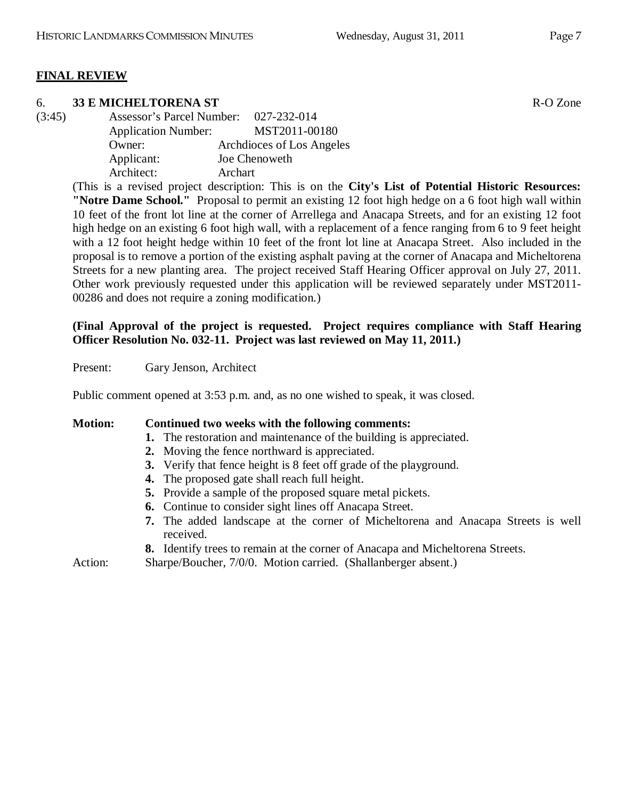# **FINAL REVIEW**

# 6. **33 E MICHELTORENA ST** R-O Zone

(3:45) Assessor's Parcel Number: 027-232-014 Application Number: MST2011-00180 Owner: Archdioces of Los Angeles Applicant: Joe Chenoweth Architect: Archart

> (This is a revised project description: This is on the **City's List of Potential Historic Resources: "Notre Dame School."** Proposal to permit an existing 12 foot high hedge on a 6 foot high wall within 10 feet of the front lot line at the corner of Arrellega and Anacapa Streets, and for an existing 12 foot high hedge on an existing 6 foot high wall, with a replacement of a fence ranging from 6 to 9 feet height with a 12 foot height hedge within 10 feet of the front lot line at Anacapa Street. Also included in the proposal is to remove a portion of the existing asphalt paving at the corner of Anacapa and Micheltorena Streets for a new planting area. The project received Staff Hearing Officer approval on July 27, 2011. Other work previously requested under this application will be reviewed separately under MST2011- 00286 and does not require a zoning modification.)

# **(Final Approval of the project is requested. Project requires compliance with Staff Hearing Officer Resolution No. 032-11. Project was last reviewed on May 11, 2011.)**

Present: Gary Jenson, Architect

Public comment opened at 3:53 p.m. and, as no one wished to speak, it was closed.

# **Motion: Continued two weeks with the following comments: 1.** The restoration and maintenance of the building is appreciated. **2.** Moving the fence northward is appreciated. **3.** Verify that fence height is 8 feet off grade of the playground. **4.** The proposed gate shall reach full height. **5.** Provide a sample of the proposed square metal pickets. **6.** Continue to consider sight lines off Anacapa Street. **7.** The added landscape at the corner of Micheltorena and Anacapa Streets is well

received. **8.** Identify trees to remain at the corner of Anacapa and Micheltorena Streets.

Action: Sharpe/Boucher, 7/0/0. Motion carried. (Shallanberger absent.)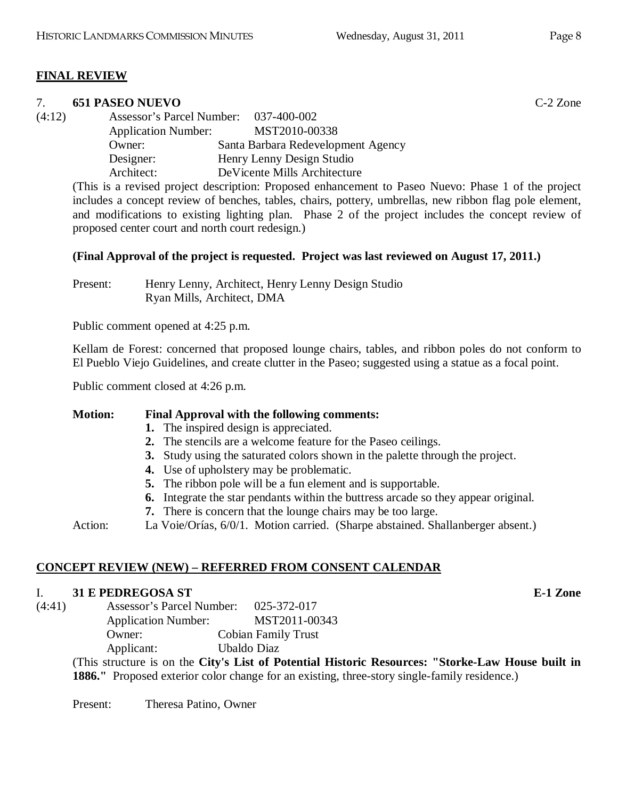# **FINAL REVIEW**

#### 7. **651 PASEO NUEVO** C-2 Zone

(4:12) Assessor's Parcel Number: 037-400-002 Application Number: MST2010-00338 Owner: Santa Barbara Redevelopment Agency Designer: Henry Lenny Design Studio Architect: DeVicente Mills Architecture

(This is a revised project description: Proposed enhancement to Paseo Nuevo: Phase 1 of the project includes a concept review of benches, tables, chairs, pottery, umbrellas, new ribbon flag pole element, and modifications to existing lighting plan. Phase 2 of the project includes the concept review of proposed center court and north court redesign.)

# **(Final Approval of the project is requested. Project was last reviewed on August 17, 2011.)**

Present: Henry Lenny, Architect, Henry Lenny Design Studio Ryan Mills, Architect, DMA

Public comment opened at 4:25 p.m.

Kellam de Forest: concerned that proposed lounge chairs, tables, and ribbon poles do not conform to El Pueblo Viejo Guidelines, and create clutter in the Paseo; suggested using a statue as a focal point.

Public comment closed at 4:26 p.m.

# **Motion: Final Approval with the following comments:**

- **1.** The inspired design is appreciated.
- **2.** The stencils are a welcome feature for the Paseo ceilings.
- **3.** Study using the saturated colors shown in the palette through the project.
- **4.** Use of upholstery may be problematic.
- **5.** The ribbon pole will be a fun element and is supportable.
- **6.** Integrate the star pendants within the buttress arcade so they appear original.
- **7.** There is concern that the lounge chairs may be too large.

Action: La Voie/Orías, 6/0/1. Motion carried. (Sharpe abstained. Shallanberger absent.)

# **CONCEPT REVIEW (NEW) – REFERRED FROM CONSENT CALENDAR**

# I. **31 E PEDREGOSA ST E-1 Zone**

(4:41) Assessor's Parcel Number: 025-372-017 Application Number: MST2011-00343

Owner: Cobian Family Trust

Applicant: Ubaldo Diaz

(This structure is on the **City's List of Potential Historic Resources: "Storke-Law House built in 1886."** Proposed exterior color change for an existing, three-story single-family residence.)

Present: Theresa Patino, Owner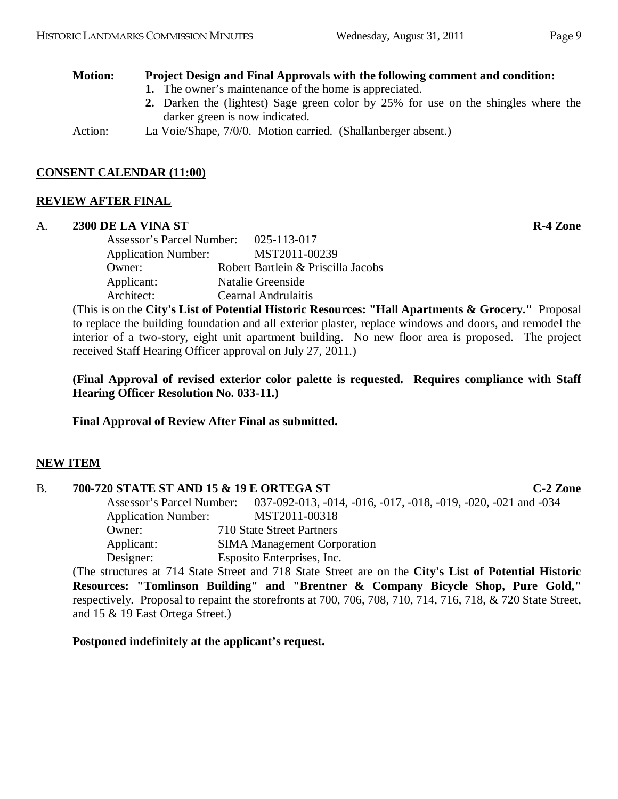# **Motion: Project Design and Final Approvals with the following comment and condition:**

- **1.** The owner's maintenance of the home is appreciated.
- **2.** Darken the (lightest) Sage green color by 25% for use on the shingles where the darker green is now indicated.

Action: La Voie/Shape, 7/0/0. Motion carried. (Shallanberger absent.)

# **CONSENT CALENDAR (11:00)**

# **REVIEW AFTER FINAL**

#### A. **2300 DE LA VINA ST R-4 Zone**

Assessor's Parcel Number: 025-113-017 Application Number: MST2011-00239 Owner: Robert Bartlein & Priscilla Jacobs Applicant: Natalie Greenside Architect: Cearnal Andrulaitis

(This is on the **City's List of Potential Historic Resources: "Hall Apartments & Grocery."** Proposal to replace the building foundation and all exterior plaster, replace windows and doors, and remodel the interior of a two-story, eight unit apartment building. No new floor area is proposed. The project received Staff Hearing Officer approval on July 27, 2011.)

**(Final Approval of revised exterior color palette is requested. Requires compliance with Staff Hearing Officer Resolution No. 033-11.)**

**Final Approval of Review After Final as submitted.**

# **NEW ITEM**

# B. **700-720 STATE ST AND 15 & 19 E ORTEGA ST C-2 Zone** Assessor's Parcel Number: 037-092-013, -014, -016, -017, -018, -019, -020, -021 and -034 Application Number: MST2011-00318 Owner: 710 State Street Partners Applicant: SIMA Management Corporation Designer: Esposito Enterprises, Inc. (The structures at 714 State Street and 718 State Street are on the **City's List of Potential Historic**

**Resources: "Tomlinson Building" and "Brentner & Company Bicycle Shop, Pure Gold,"** respectively. Proposal to repaint the storefronts at 700, 706, 708, 710, 714, 716, 718, & 720 State Street, and 15 & 19 East Ortega Street.)

**Postponed indefinitely at the applicant's request.**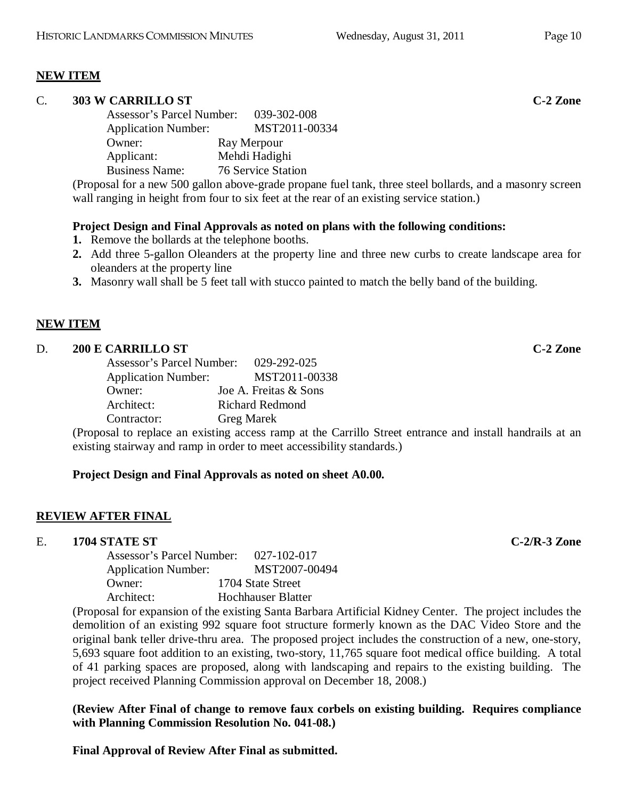# **NEW ITEM**

#### C. **303 W CARRILLO ST C-2 Zone**

Assessor's Parcel Number: 039-302-008 Application Number: MST2011-00334 Owner: Ray Merpour Applicant: Mehdi Hadighi Business Name: 76 Service Station

(Proposal for a new 500 gallon above-grade propane fuel tank, three steel bollards, and a masonry screen wall ranging in height from four to six feet at the rear of an existing service station.)

#### **Project Design and Final Approvals as noted on plans with the following conditions:**

- **1.** Remove the bollards at the telephone booths.
- **2.** Add three 5-gallon Oleanders at the property line and three new curbs to create landscape area for oleanders at the property line
- **3.** Masonry wall shall be 5 feet tall with stucco painted to match the belly band of the building.

#### **NEW ITEM**

#### D. **200 E CARRILLO ST C-2 Zone**

| Assessor's Parcel Number:  | 029-292-025            |
|----------------------------|------------------------|
| <b>Application Number:</b> | MST2011-00338          |
| Owner:                     | Joe A. Freitas & Sons  |
| Architect:                 | <b>Richard Redmond</b> |
| Contractor:                | <b>Greg Marek</b>      |

(Proposal to replace an existing access ramp at the Carrillo Street entrance and install handrails at an existing stairway and ramp in order to meet accessibility standards.)

#### **Project Design and Final Approvals as noted on sheet A0.00.**

#### **REVIEW AFTER FINAL**

#### E. **1704 STATE ST C-2/R-3 Zone**

| <b>Assessor's Parcel Number:</b> | 027-102-017               |
|----------------------------------|---------------------------|
| <b>Application Number:</b>       | MST2007-00494             |
| Owner:                           | 1704 State Street         |
| Architect:                       | <b>Hochhauser Blatter</b> |

(Proposal for expansion of the existing Santa Barbara Artificial Kidney Center. The project includes the demolition of an existing 992 square foot structure formerly known as the DAC Video Store and the original bank teller drive-thru area. The proposed project includes the construction of a new, one-story, 5,693 square foot addition to an existing, two-story, 11,765 square foot medical office building. A total of 41 parking spaces are proposed, along with landscaping and repairs to the existing building. The project received Planning Commission approval on December 18, 2008.)

**(Review After Final of change to remove faux corbels on existing building. Requires compliance with Planning Commission Resolution No. 041-08.)**

**Final Approval of Review After Final as submitted.**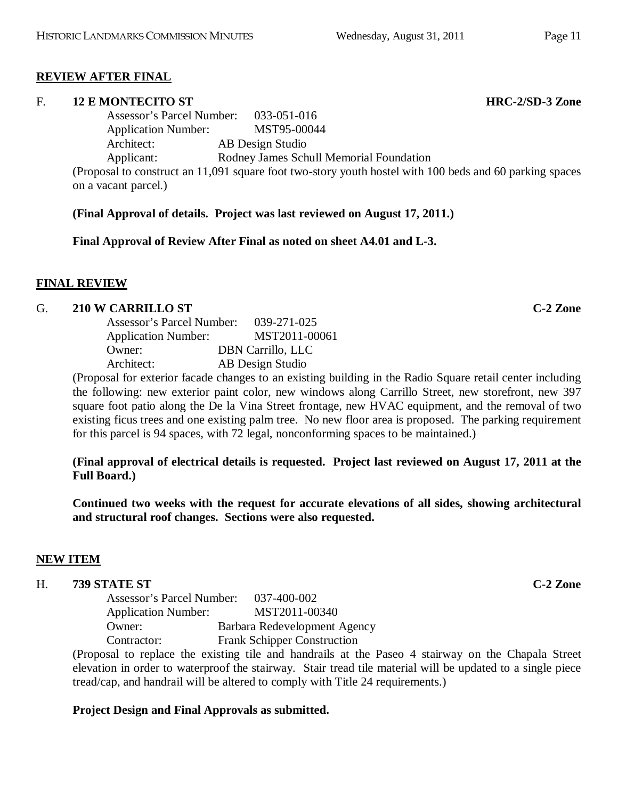#### **REVIEW AFTER FINAL**

#### F. **12 E MONTECITO ST HRC-2/SD-3 Zone**

Assessor's Parcel Number: 033-051-016 Application Number: MST95-00044 Architect: AB Design Studio Applicant: Rodney James Schull Memorial Foundation (Proposal to construct an 11,091 square foot two-story youth hostel with 100 beds and 60 parking spaces on a vacant parcel.)

**(Final Approval of details. Project was last reviewed on August 17, 2011.)**

**Final Approval of Review After Final as noted on sheet A4.01 and L-3.**

# **FINAL REVIEW**

#### G. **210 W CARRILLO ST C-2 Zone**

| Assessor's Parcel Number:  | 039-271-025              |
|----------------------------|--------------------------|
| <b>Application Number:</b> | MST2011-00061            |
| Owner:                     | <b>DBN</b> Carrillo, LLC |
| Architect:                 | AB Design Studio         |

(Proposal for exterior facade changes to an existing building in the Radio Square retail center including the following: new exterior paint color, new windows along Carrillo Street, new storefront, new 397 square foot patio along the De la Vina Street frontage, new HVAC equipment, and the removal of two existing ficus trees and one existing palm tree. No new floor area is proposed. The parking requirement for this parcel is 94 spaces, with 72 legal, nonconforming spaces to be maintained.)

**(Final approval of electrical details is requested. Project last reviewed on August 17, 2011 at the Full Board.)**

**Continued two weeks with the request for accurate elevations of all sides, showing architectural and structural roof changes. Sections were also requested.**

#### **NEW ITEM**

#### H. **739 STATE ST C-2 Zone**

Assessor's Parcel Number: 037-400-002 Application Number: MST2011-00340 Owner: Barbara Redevelopment Agency Contractor: Frank Schipper Construction

(Proposal to replace the existing tile and handrails at the Paseo 4 stairway on the Chapala Street elevation in order to waterproof the stairway. Stair tread tile material will be updated to a single piece tread/cap, and handrail will be altered to comply with Title 24 requirements.)

# **Project Design and Final Approvals as submitted.**